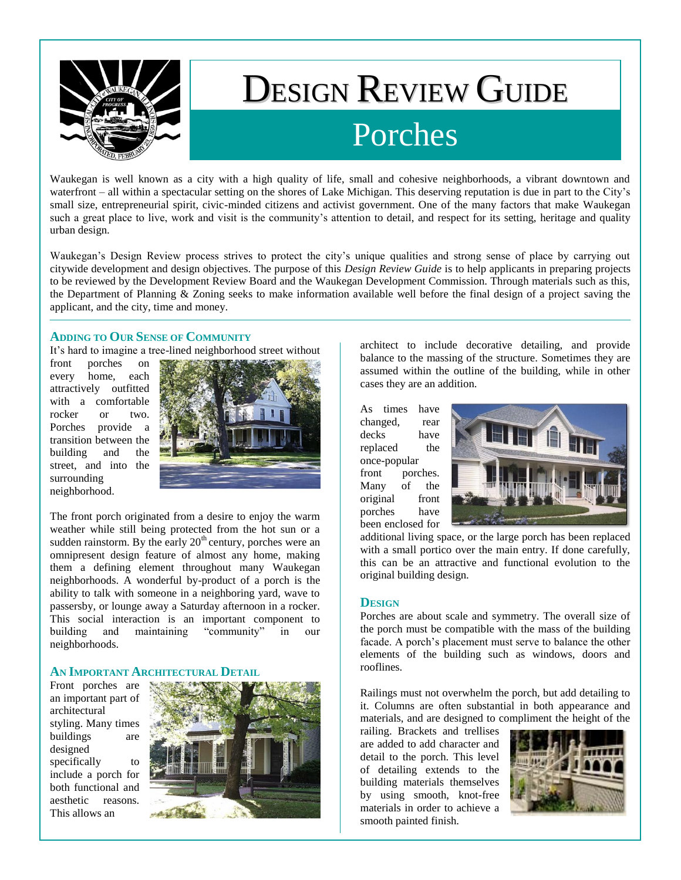

# DESIGN REVIEW GUIDE Porches

Waukegan is well known as a city with a high quality of life, small and cohesive neighborhoods, a vibrant downtown and waterfront – all within a spectacular setting on the shores of Lake Michigan. This deserving reputation is due in part to the City's small size, entrepreneurial spirit, civic-minded citizens and activist government. One of the many factors that make Waukegan such a great place to live, work and visit is the community's attention to detail, and respect for its setting, heritage and quality urban design.

Waukegan's Design Review process strives to protect the city's unique qualities and strong sense of place by carrying out citywide development and design objectives. The purpose of this *Design Review Guide* is to help applicants in preparing projects to be reviewed by the Development Review Board and the Waukegan Development Commission. Through materials such as this, the Department of Planning & Zoning seeks to make information available well before the final design of a project saving the applicant, and the city, time and money.

#### **ADDING TO OUR SENSE OF COMMUNITY**

It's hard to imagine a tree-lined neighborhood street without

front porches on every home, each attractively outfitted with a comfortable rocker or two. Porches provide a transition between the building and the street, and into the surrounding neighborhood.



The front porch originated from a desire to enjoy the warm weather while still being protected from the hot sun or a sudden rainstorm. By the early  $20<sup>th</sup>$  century, porches were an omnipresent design feature of almost any home, making them a defining element throughout many Waukegan neighborhoods. A wonderful by-product of a porch is the ability to talk with someone in a neighboring yard, wave to passersby, or lounge away a Saturday afternoon in a rocker. This social interaction is an important component to building and maintaining "community" in our neighborhoods.

### **AN IMPORTANT ARCHITECTURAL DETAIL**

Front porches are an important part of architectural styling. Many times buildings are designed specifically to include a porch for both functional and aesthetic reasons. This allows an



architect to include decorative detailing, and provide balance to the massing of the structure. Sometimes they are assumed within the outline of the building, while in other cases they are an addition.

As times have changed, rear decks have replaced the once-popular

front porches. Many of the original front porches have been enclosed for



additional living space, or the large porch has been replaced with a small portico over the main entry. If done carefully, this can be an attractive and functional evolution to the original building design.

#### **DESIGN**

Porches are about scale and symmetry. The overall size of the porch must be compatible with the mass of the building facade. A porch's placement must serve to balance the other elements of the building such as windows, doors and rooflines.

Railings must not overwhelm the porch, but add detailing to it. Columns are often substantial in both appearance and materials, and are designed to compliment the height of the

railing. Brackets and trellises are added to add character and detail to the porch. This level of detailing extends to the building materials themselves by using smooth, knot-free materials in order to achieve a smooth painted finish.